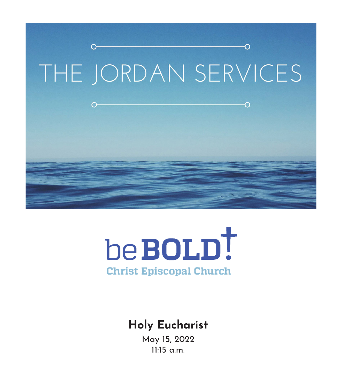



### **Holy Eucharist**

May 15, 2022 11:15 a.m.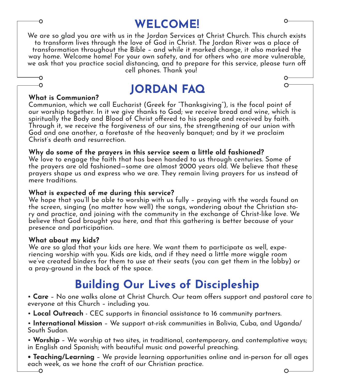### **WELCOME!**

We are so glad you are with us in the Jordan Services at Christ Church. This church exists to transform lives through the love of God in Christ. The Jordan River was a place of transformation throughout the Bible – and while it marked change, it also marked the way home. Welcome home! For your own safety, and for others who are more vulnerable, we ask that you practice social distancing, and to prepare for this service, please turn off cell phones. Thank you!

# **JORDAN FAQ What is Communion?**

Communion, which we call Eucharist (Greek for "Thanksgiving"), is the focal point of our worship together. In it we give thanks to God; we receive bread and wine, which is spiritually the Body and Blood of Christ offered to his people and received by faith. Through it, we receive the forgiveness of our sins, the strengthening of our union with God and one another, a foretaste of the heavenly banquet; and by it we proclaim Christ's death and resurrection.

#### **Why do some of the prayers in this service seem a little old fashioned?**

We love to engage the faith that has been handed to us through centuries. Some of the prayers are old fashioned—some are almost 2000 years old. We believe that these prayers shape us and express who we are. They remain living prayers for us instead of mere traditions.

#### **What is expected of me during this service?**

We hope that you'll be able to worship with us fully – praying with the words found on the screen, singing (no matter how well) the songs, wondering about the Christian story and practice, and joining with the community in the exchange of Christ-like love. We believe that God brought you here, and that this gathering is better because of your presence and participation.

#### **What about my kids?**

We are so glad that your kids are here. We want them to participate as well, experiencing worship with you. Kids are kids, and if they need a little more wiggle room we've created binders for them to use at their seats (you can get them in the lobby) or a pray-ground in the back of the space.

### **Building Our Lives of Discipleship**

• **Care** – No one walks alone at Christ Church. Our team offers support and pastoral care to everyone at this Church – including you.

• **Local Outreach** - CEC supports in financial assistance to 16 community partners.

• **International Mission** – We support at-risk communities in Bolivia, Cuba, and Uganda/ South Sudan.

• **Worship** – We worship at two sites, in traditional, contemporary, and contemplative ways; in English and Spanish; with beautiful music and powerful preaching.

**• Teaching/Learning** – We provide learning opportunities online and in-person for all ages each week, as we hone the craft of our Christian practice.  $\overline{O}$ O-

O

O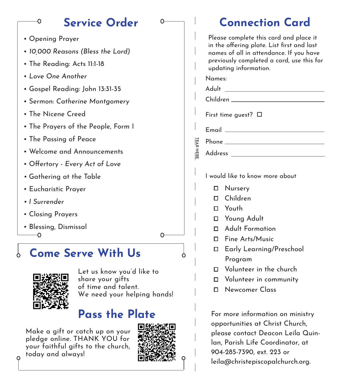#### **Service Order**

∩

• Opening Prayer

O

- *10,000 Reasons (Bless the Lord)*
- The Reading: Acts 11:1-18
- *Love One Another*
- Gospel Reading: John 13:31-35
- Sermon: *Catherine Montgomery*
- The Nicene Creed
- The Prayers of the People, Form I
- The Passing of Peace
- Welcome and Announcements
- Offertory *Every Act of Love*
- Gathering at the Table
- Eucharistic Prayer
- *I Surrender*
- Closing Prayers
- Blessing, Dismissal $\Omega$

### **Come Serve With Us**



O

Let us know you'd like to share your gifts of time and talent. We need your helping hands!

## **Pass the Plate**

Make a gift or catch up on your pledge online. THANK YOU for your faithful gifts to the church, today and always!



∩−

| <b>Connection Card</b> |                                                                                                                                                                                                       |                                |  |
|------------------------|-------------------------------------------------------------------------------------------------------------------------------------------------------------------------------------------------------|--------------------------------|--|
|                        | Please complete this card and place it<br>in the offering plate. List first and last<br>names of all in attendance. If you have<br>previously completed a card, use this for<br>updating information. |                                |  |
|                        | Names:                                                                                                                                                                                                |                                |  |
|                        | Adult                                                                                                                                                                                                 |                                |  |
|                        |                                                                                                                                                                                                       | Children                       |  |
|                        | First time guest? $\square$                                                                                                                                                                           |                                |  |
|                        | Email ___________                                                                                                                                                                                     |                                |  |
|                        |                                                                                                                                                                                                       | Phone ________________________ |  |
| <u>TEAR</u> HERE       |                                                                                                                                                                                                       | Address                        |  |
|                        | I would like to know more about                                                                                                                                                                       |                                |  |
|                        | п                                                                                                                                                                                                     | Nursery                        |  |
|                        | п                                                                                                                                                                                                     | Children                       |  |
|                        | п                                                                                                                                                                                                     | Youth                          |  |
|                        | п                                                                                                                                                                                                     | Young Adult                    |  |
|                        | п                                                                                                                                                                                                     | <b>Adult Formation</b>         |  |
|                        | п                                                                                                                                                                                                     | Fine Arts/Music                |  |
|                        | п                                                                                                                                                                                                     | Early Learning/Preschool       |  |
|                        |                                                                                                                                                                                                       | Program                        |  |
|                        | П                                                                                                                                                                                                     | Volunteer in the church        |  |
|                        | п                                                                                                                                                                                                     | Volunteer in community         |  |
|                        | п                                                                                                                                                                                                     | Newcomer Class                 |  |
|                        | For more information on ministry<br>opportunities at Christ Church,<br>please contact Deacon Leila Quin-<br>lan, Parish Life Coordinator, at                                                          |                                |  |

904-285-7390, ext. 223 or leila@christepiscopalchurch.org.